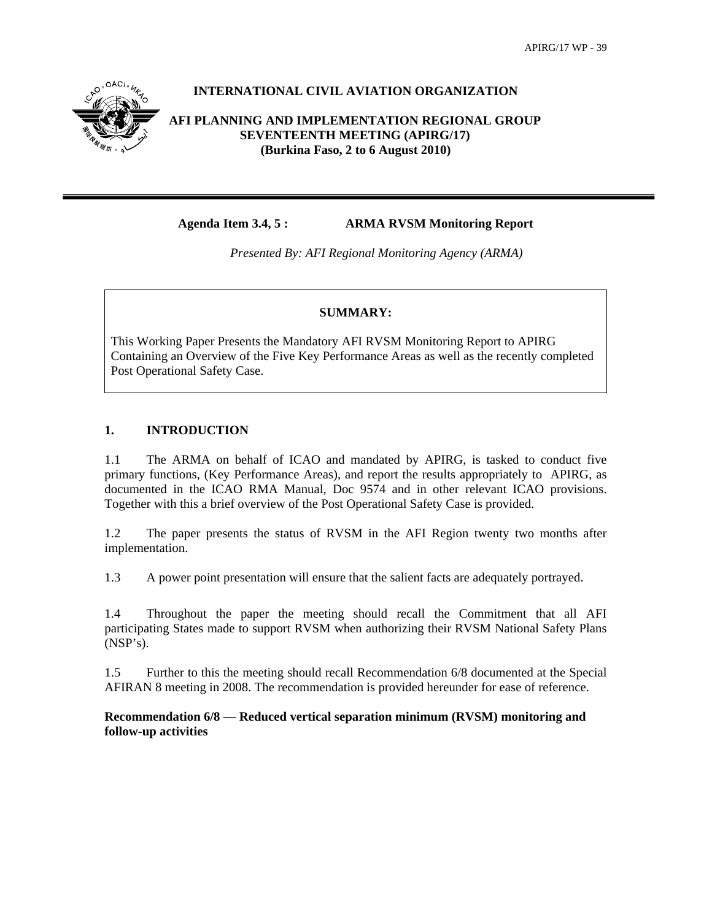

## **INTERNATIONAL CIVIL AVIATION ORGANIZATION**

## **AFI PLANNING AND IMPLEMENTATION REGIONAL GROUP SEVENTEENTH MEETING (APIRG/17) (Burkina Faso, 2 to 6 August 2010)**

**Agenda Item 3.4, 5 : ARMA RVSM Monitoring Report** 

*Presented By: AFI Regional Monitoring Agency (ARMA)* 

### **SUMMARY:**

This Working Paper Presents the Mandatory AFI RVSM Monitoring Report to APIRG Containing an Overview of the Five Key Performance Areas as well as the recently completed Post Operational Safety Case.

## **1. INTRODUCTION**

1.1 The ARMA on behalf of ICAO and mandated by APIRG, is tasked to conduct five primary functions, (Key Performance Areas), and report the results appropriately to APIRG, as documented in the ICAO RMA Manual, Doc 9574 and in other relevant ICAO provisions. Together with this a brief overview of the Post Operational Safety Case is provided.

1.2 The paper presents the status of RVSM in the AFI Region twenty two months after implementation.

1.3 A power point presentation will ensure that the salient facts are adequately portrayed.

1.4 Throughout the paper the meeting should recall the Commitment that all AFI participating States made to support RVSM when authorizing their RVSM National Safety Plans (NSP's).

1.5 Further to this the meeting should recall Recommendation 6/8 documented at the Special AFIRAN 8 meeting in 2008. The recommendation is provided hereunder for ease of reference.

**Recommendation 6/8 — Reduced vertical separation minimum (RVSM) monitoring and follow-up activities**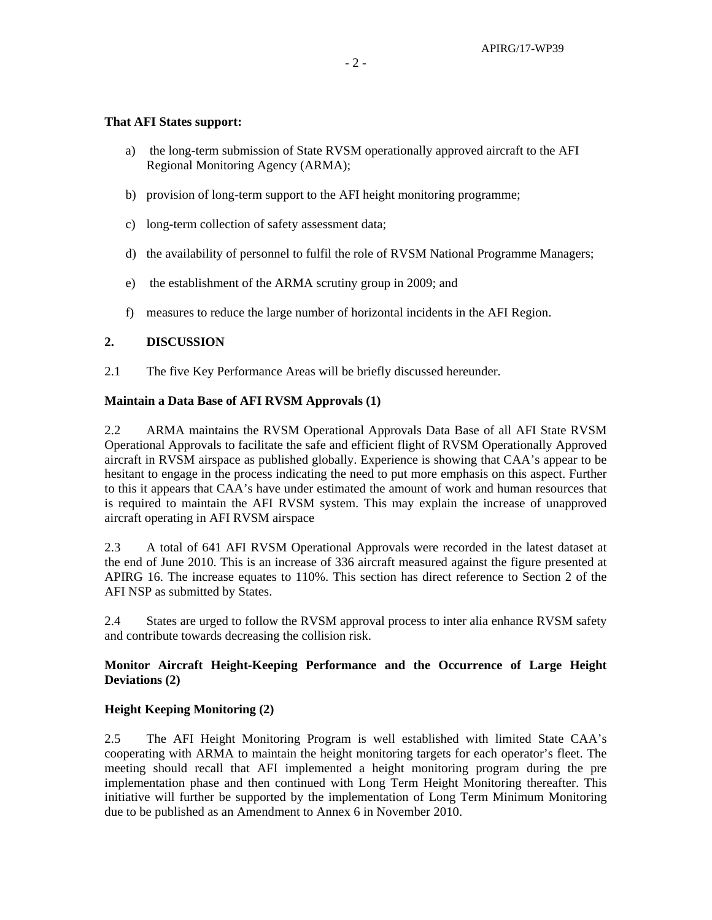## **That AFI States support:**

- a) the long-term submission of State RVSM operationally approved aircraft to the AFI Regional Monitoring Agency (ARMA);
- b) provision of long-term support to the AFI height monitoring programme;
- c) long-term collection of safety assessment data;
- d) the availability of personnel to fulfil the role of RVSM National Programme Managers;
- e) the establishment of the ARMA scrutiny group in 2009; and
- f) measures to reduce the large number of horizontal incidents in the AFI Region.

### **2. DISCUSSION**

2.1 The five Key Performance Areas will be briefly discussed hereunder.

### **Maintain a Data Base of AFI RVSM Approvals (1)**

2.2 ARMA maintains the RVSM Operational Approvals Data Base of all AFI State RVSM Operational Approvals to facilitate the safe and efficient flight of RVSM Operationally Approved aircraft in RVSM airspace as published globally. Experience is showing that CAA's appear to be hesitant to engage in the process indicating the need to put more emphasis on this aspect. Further to this it appears that CAA's have under estimated the amount of work and human resources that is required to maintain the AFI RVSM system. This may explain the increase of unapproved aircraft operating in AFI RVSM airspace

2.3 A total of 641 AFI RVSM Operational Approvals were recorded in the latest dataset at the end of June 2010. This is an increase of 336 aircraft measured against the figure presented at APIRG 16. The increase equates to 110%. This section has direct reference to Section 2 of the AFI NSP as submitted by States.

2.4 States are urged to follow the RVSM approval process to inter alia enhance RVSM safety and contribute towards decreasing the collision risk.

## **Monitor Aircraft Height-Keeping Performance and the Occurrence of Large Height Deviations (2)**

## **Height Keeping Monitoring (2)**

2.5 The AFI Height Monitoring Program is well established with limited State CAA's cooperating with ARMA to maintain the height monitoring targets for each operator's fleet. The meeting should recall that AFI implemented a height monitoring program during the pre implementation phase and then continued with Long Term Height Monitoring thereafter. This initiative will further be supported by the implementation of Long Term Minimum Monitoring due to be published as an Amendment to Annex 6 in November 2010.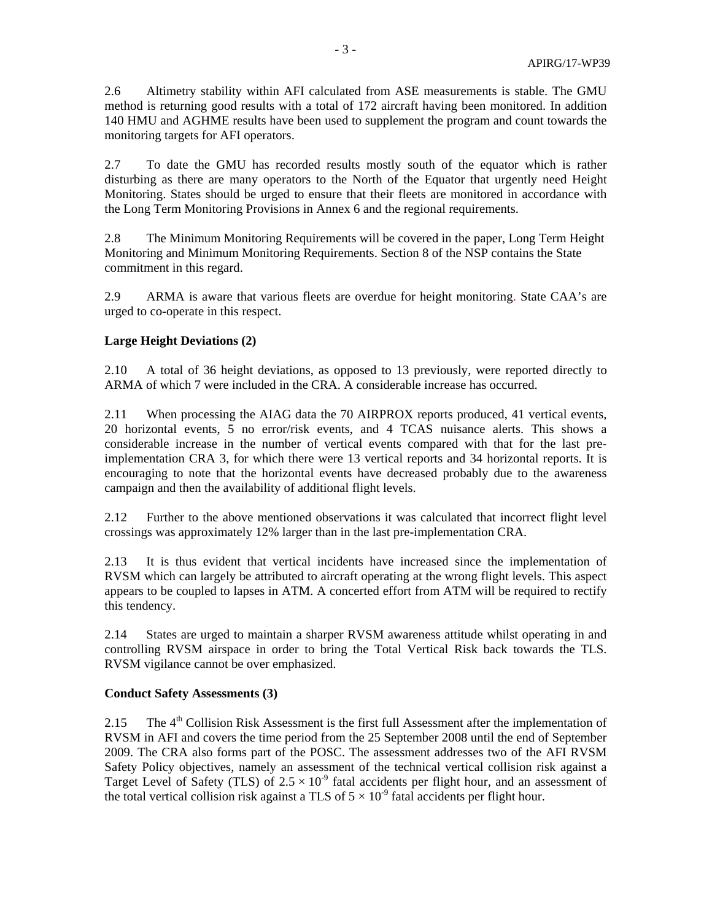2.6 Altimetry stability within AFI calculated from ASE measurements is stable. The GMU method is returning good results with a total of 172 aircraft having been monitored. In addition 140 HMU and AGHME results have been used to supplement the program and count towards the monitoring targets for AFI operators.

2.7 To date the GMU has recorded results mostly south of the equator which is rather disturbing as there are many operators to the North of the Equator that urgently need Height Monitoring. States should be urged to ensure that their fleets are monitored in accordance with the Long Term Monitoring Provisions in Annex 6 and the regional requirements.

2.8 The Minimum Monitoring Requirements will be covered in the paper, Long Term Height Monitoring and Minimum Monitoring Requirements. Section 8 of the NSP contains the State commitment in this regard.

2.9 ARMA is aware that various fleets are overdue for height monitoring. State CAA's are urged to co-operate in this respect.

## **Large Height Deviations (2)**

2.10 A total of 36 height deviations, as opposed to 13 previously, were reported directly to ARMA of which 7 were included in the CRA. A considerable increase has occurred.

2.11 When processing the AIAG data the 70 AIRPROX reports produced, 41 vertical events, 20 horizontal events, 5 no error/risk events, and 4 TCAS nuisance alerts. This shows a considerable increase in the number of vertical events compared with that for the last preimplementation CRA 3, for which there were 13 vertical reports and 34 horizontal reports. It is encouraging to note that the horizontal events have decreased probably due to the awareness campaign and then the availability of additional flight levels.

2.12 Further to the above mentioned observations it was calculated that incorrect flight level crossings was approximately 12% larger than in the last pre-implementation CRA.

2.13 It is thus evident that vertical incidents have increased since the implementation of RVSM which can largely be attributed to aircraft operating at the wrong flight levels. This aspect appears to be coupled to lapses in ATM. A concerted effort from ATM will be required to rectify this tendency.

2.14 States are urged to maintain a sharper RVSM awareness attitude whilst operating in and controlling RVSM airspace in order to bring the Total Vertical Risk back towards the TLS. RVSM vigilance cannot be over emphasized.

#### **Conduct Safety Assessments (3)**

2.15 The 4<sup>th</sup> Collision Risk Assessment is the first full Assessment after the implementation of RVSM in AFI and covers the time period from the 25 September 2008 until the end of September 2009. The CRA also forms part of the POSC. The assessment addresses two of the AFI RVSM Safety Policy objectives, namely an assessment of the technical vertical collision risk against a Target Level of Safety (TLS) of  $2.5 \times 10^{-9}$  fatal accidents per flight hour, and an assessment of the total vertical collision risk against a TLS of  $5 \times 10^{-9}$  fatal accidents per flight hour.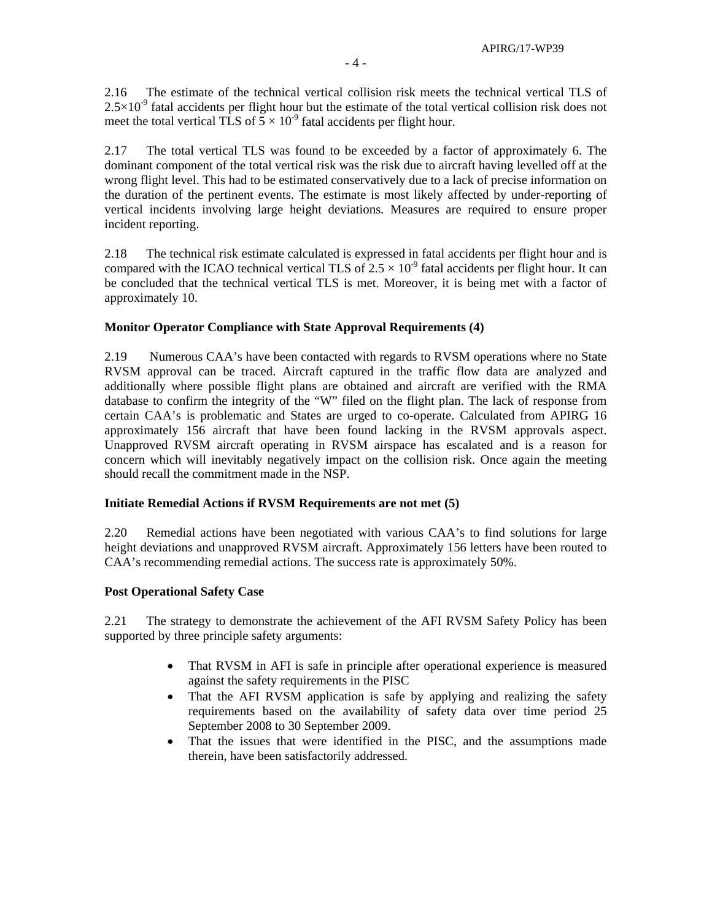2.16 The estimate of the technical vertical collision risk meets the technical vertical TLS of  $2.5\times10^{-9}$  fatal accidents per flight hour but the estimate of the total vertical collision risk does not meet the total vertical TLS of  $5 \times 10^{-9}$  fatal accidents per flight hour.

2.17 The total vertical TLS was found to be exceeded by a factor of approximately 6. The dominant component of the total vertical risk was the risk due to aircraft having levelled off at the wrong flight level. This had to be estimated conservatively due to a lack of precise information on the duration of the pertinent events. The estimate is most likely affected by under-reporting of vertical incidents involving large height deviations. Measures are required to ensure proper incident reporting.

2.18 The technical risk estimate calculated is expressed in fatal accidents per flight hour and is compared with the ICAO technical vertical TLS of  $2.5 \times 10^{-9}$  fatal accidents per flight hour. It can be concluded that the technical vertical TLS is met. Moreover, it is being met with a factor of approximately 10.

## **Monitor Operator Compliance with State Approval Requirements (4)**

2.19 Numerous CAA's have been contacted with regards to RVSM operations where no State RVSM approval can be traced. Aircraft captured in the traffic flow data are analyzed and additionally where possible flight plans are obtained and aircraft are verified with the RMA database to confirm the integrity of the "W" filed on the flight plan. The lack of response from certain CAA's is problematic and States are urged to co-operate. Calculated from APIRG 16 approximately 156 aircraft that have been found lacking in the RVSM approvals aspect. Unapproved RVSM aircraft operating in RVSM airspace has escalated and is a reason for concern which will inevitably negatively impact on the collision risk. Once again the meeting should recall the commitment made in the NSP.

## **Initiate Remedial Actions if RVSM Requirements are not met (5)**

2.20 Remedial actions have been negotiated with various CAA's to find solutions for large height deviations and unapproved RVSM aircraft. Approximately 156 letters have been routed to CAA's recommending remedial actions. The success rate is approximately 50%.

## **Post Operational Safety Case**

2.21 The strategy to demonstrate the achievement of the AFI RVSM Safety Policy has been supported by three principle safety arguments:

- That RVSM in AFI is safe in principle after operational experience is measured against the safety requirements in the PISC
- That the AFI RVSM application is safe by applying and realizing the safety requirements based on the availability of safety data over time period 25 September 2008 to 30 September 2009.
- That the issues that were identified in the PISC, and the assumptions made therein, have been satisfactorily addressed.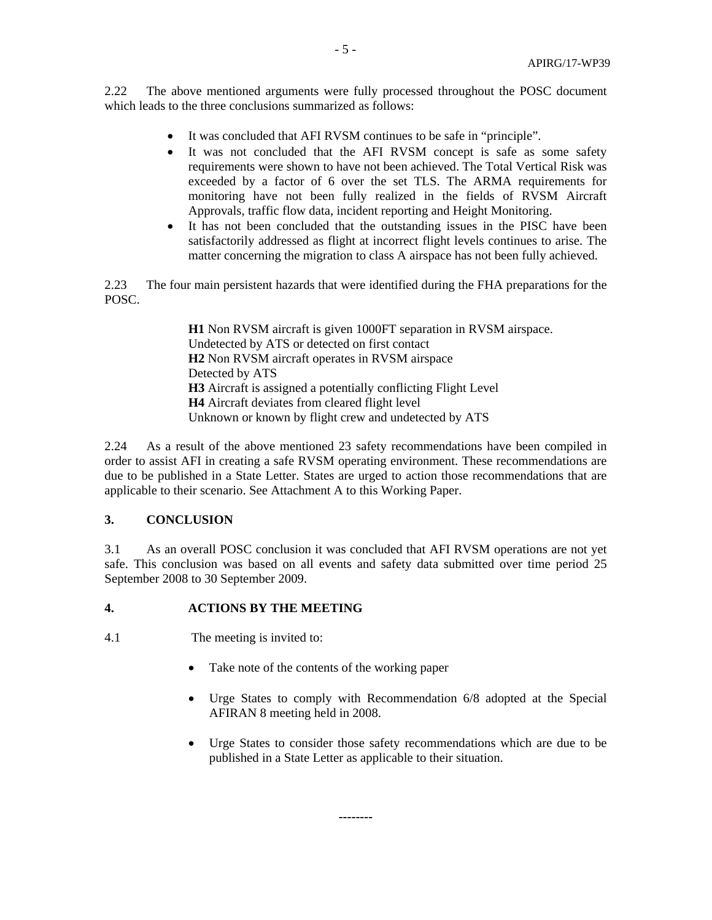2.22 The above mentioned arguments were fully processed throughout the POSC document which leads to the three conclusions summarized as follows:

- It was concluded that AFI RVSM continues to be safe in "principle".
- It was not concluded that the AFI RVSM concept is safe as some safety requirements were shown to have not been achieved. The Total Vertical Risk was exceeded by a factor of 6 over the set TLS. The ARMA requirements for monitoring have not been fully realized in the fields of RVSM Aircraft Approvals, traffic flow data, incident reporting and Height Monitoring.
- It has not been concluded that the outstanding issues in the PISC have been satisfactorily addressed as flight at incorrect flight levels continues to arise. The matter concerning the migration to class A airspace has not been fully achieved.

2.23 The four main persistent hazards that were identified during the FHA preparations for the POSC.

> **H1** Non RVSM aircraft is given 1000FT separation in RVSM airspace. Undetected by ATS or detected on first contact **H2** Non RVSM aircraft operates in RVSM airspace Detected by ATS **H3** Aircraft is assigned a potentially conflicting Flight Level **H4** Aircraft deviates from cleared flight level Unknown or known by flight crew and undetected by ATS

2.24 As a result of the above mentioned 23 safety recommendations have been compiled in order to assist AFI in creating a safe RVSM operating environment. These recommendations are due to be published in a State Letter. States are urged to action those recommendations that are applicable to their scenario. See Attachment A to this Working Paper.

## **3. CONCLUSION**

3.1 As an overall POSC conclusion it was concluded that AFI RVSM operations are not yet safe. This conclusion was based on all events and safety data submitted over time period 25 September 2008 to 30 September 2009.

**--------** 

## **4. ACTIONS BY THE MEETING**

4.1 The meeting is invited to:

- Take note of the contents of the working paper
- Urge States to comply with Recommendation 6/8 adopted at the Special AFIRAN 8 meeting held in 2008.
- Urge States to consider those safety recommendations which are due to be published in a State Letter as applicable to their situation.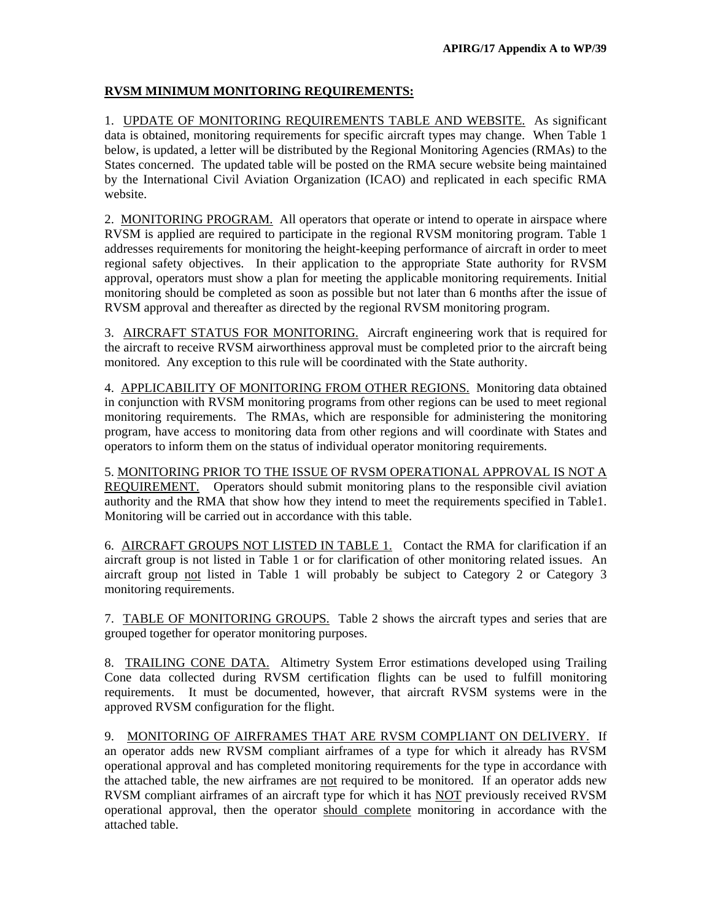## **RVSM MINIMUM MONITORING REQUIREMENTS:**

1. UPDATE OF MONITORING REQUIREMENTS TABLE AND WEBSITE. As significant data is obtained, monitoring requirements for specific aircraft types may change. When Table 1 below, is updated, a letter will be distributed by the Regional Monitoring Agencies (RMAs) to the States concerned. The updated table will be posted on the RMA secure website being maintained by the International Civil Aviation Organization (ICAO) and replicated in each specific RMA website.

2. MONITORING PROGRAM. All operators that operate or intend to operate in airspace where RVSM is applied are required to participate in the regional RVSM monitoring program. Table 1 addresses requirements for monitoring the height-keeping performance of aircraft in order to meet regional safety objectives. In their application to the appropriate State authority for RVSM approval, operators must show a plan for meeting the applicable monitoring requirements. Initial monitoring should be completed as soon as possible but not later than 6 months after the issue of RVSM approval and thereafter as directed by the regional RVSM monitoring program.

3. AIRCRAFT STATUS FOR MONITORING. Aircraft engineering work that is required for the aircraft to receive RVSM airworthiness approval must be completed prior to the aircraft being monitored. Any exception to this rule will be coordinated with the State authority.

4. APPLICABILITY OF MONITORING FROM OTHER REGIONS. Monitoring data obtained in conjunction with RVSM monitoring programs from other regions can be used to meet regional monitoring requirements. The RMAs, which are responsible for administering the monitoring program, have access to monitoring data from other regions and will coordinate with States and operators to inform them on the status of individual operator monitoring requirements.

5. MONITORING PRIOR TO THE ISSUE OF RVSM OPERATIONAL APPROVAL IS NOT A REQUIREMENT. Operators should submit monitoring plans to the responsible civil aviation authority and the RMA that show how they intend to meet the requirements specified in Table1. Monitoring will be carried out in accordance with this table.

6. AIRCRAFT GROUPS NOT LISTED IN TABLE 1. Contact the RMA for clarification if an aircraft group is not listed in Table 1 or for clarification of other monitoring related issues. An aircraft group not listed in Table 1 will probably be subject to Category 2 or Category 3 monitoring requirements.

7. TABLE OF MONITORING GROUPS. Table 2 shows the aircraft types and series that are grouped together for operator monitoring purposes.

8. TRAILING CONE DATA. Altimetry System Error estimations developed using Trailing Cone data collected during RVSM certification flights can be used to fulfill monitoring requirements. It must be documented, however, that aircraft RVSM systems were in the approved RVSM configuration for the flight.

9. MONITORING OF AIRFRAMES THAT ARE RVSM COMPLIANT ON DELIVERY. If an operator adds new RVSM compliant airframes of a type for which it already has RVSM operational approval and has completed monitoring requirements for the type in accordance with the attached table, the new airframes are not required to be monitored. If an operator adds new RVSM compliant airframes of an aircraft type for which it has NOT previously received RVSM operational approval, then the operator should complete monitoring in accordance with the attached table.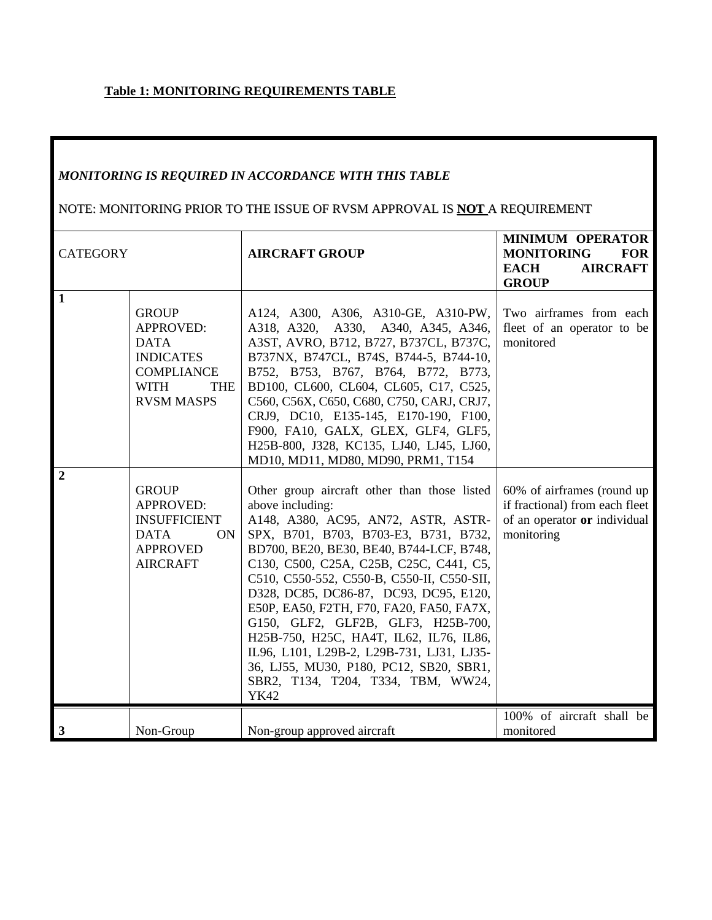## **Table 1: MONITORING REQUIREMENTS TABLE**

# *MONITORING IS REQUIRED IN ACCORDANCE WITH THIS TABLE*

# NOTE: MONITORING PRIOR TO THE ISSUE OF RVSM APPROVAL IS **NOT** A REQUIREMENT

| <b>CATEGORY</b> |                                                                                                                                            | <b>AIRCRAFT GROUP</b>                                                                                                                                                                                                                                                                                                                                                                                                                                                                                                                                                                                     | <b>MINIMUM OPERATOR</b><br><b>MONITORING</b><br><b>FOR</b><br><b>EACH</b><br><b>AIRCRAFT</b><br><b>GROUP</b> |
|-----------------|--------------------------------------------------------------------------------------------------------------------------------------------|-----------------------------------------------------------------------------------------------------------------------------------------------------------------------------------------------------------------------------------------------------------------------------------------------------------------------------------------------------------------------------------------------------------------------------------------------------------------------------------------------------------------------------------------------------------------------------------------------------------|--------------------------------------------------------------------------------------------------------------|
| $\mathbf{1}$    | <b>GROUP</b><br><b>APPROVED:</b><br><b>DATA</b><br><b>INDICATES</b><br><b>COMPLIANCE</b><br><b>WITH</b><br><b>THE</b><br><b>RVSM MASPS</b> | A124, A300, A306, A310-GE, A310-PW,<br>A318, A320, A330, A340, A345, A346,<br>A3ST, AVRO, B712, B727, B737CL, B737C,<br>B737NX, B747CL, B74S, B744-5, B744-10,<br>B752, B753, B767, B764, B772, B773,<br>BD100, CL600, CL604, CL605, C17, C525,<br>C560, C56X, C650, C680, C750, CARJ, CRJ7,<br>CRJ9, DC10, E135-145, E170-190, F100,<br>F900, FA10, GALX, GLEX, GLF4, GLF5,<br>H25B-800, J328, KC135, LJ40, LJ45, LJ60,<br>MD10, MD11, MD80, MD90, PRM1, T154                                                                                                                                            | Two airframes from each<br>fleet of an operator to be<br>monitored                                           |
| $\overline{2}$  | <b>GROUP</b><br><b>APPROVED:</b><br><b>INSUFFICIENT</b><br><b>DATA</b><br><b>ON</b><br><b>APPROVED</b><br><b>AIRCRAFT</b>                  | Other group aircraft other than those listed<br>above including:<br>A148, A380, AC95, AN72, ASTR, ASTR-<br>SPX, B701, B703, B703-E3, B731, B732,<br>BD700, BE20, BE30, BE40, B744-LCF, B748,<br>C130, C500, C25A, C25B, C25C, C441, C5,<br>C510, C550-552, C550-B, C550-II, C550-SII,<br>D328, DC85, DC86-87, DC93, DC95, E120,<br>E50P, EA50, F2TH, F70, FA20, FA50, FA7X,<br>G150, GLF2, GLF2B, GLF3, H25B-700,<br>H25B-750, H25C, HA4T, IL62, IL76, IL86,<br>IL96, L101, L29B-2, L29B-731, LJ31, LJ35-<br>36, LJ55, MU30, P180, PC12, SB20, SBR1,<br>SBR2, T134, T204, T334, TBM, WW24,<br><b>YK42</b> | 60% of airframes (round up<br>if fractional) from each fleet<br>of an operator or individual<br>monitoring   |
| $\mathbf{3}$    | Non-Group                                                                                                                                  | Non-group approved aircraft                                                                                                                                                                                                                                                                                                                                                                                                                                                                                                                                                                               | 100% of aircraft shall be<br>monitored                                                                       |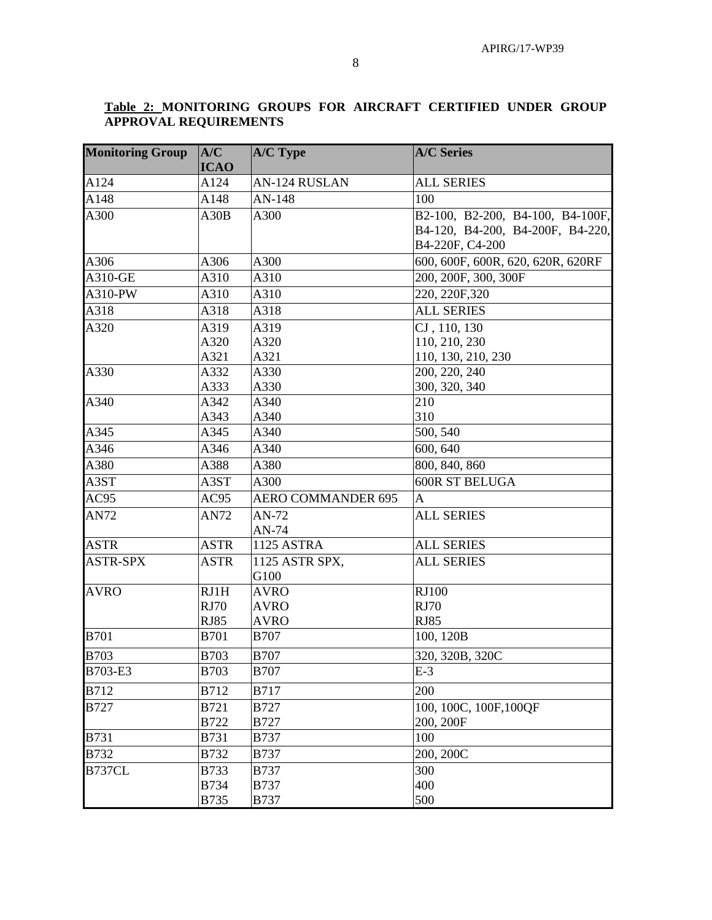#### **Table 2: MONITORING GROUPS FOR AIRCRAFT CERTIFIED UNDER GROUP APPROVAL REQUIREMENTS**

| <b>Monitoring Group</b> | A/C<br><b>ICAO</b> | <b>A/C Type</b>           | <b>A/C Series</b>                 |
|-------------------------|--------------------|---------------------------|-----------------------------------|
| A124                    | A124               | <b>AN-124 RUSLAN</b>      | <b>ALL SERIES</b>                 |
| A148                    | A148               | AN-148                    | 100                               |
| A300                    | A30B               | A300                      | B2-100, B2-200, B4-100, B4-100F,  |
|                         |                    |                           | B4-120, B4-200, B4-200F, B4-220,  |
|                         |                    |                           | B4-220F, C4-200                   |
| A306                    | A306               | A300                      | 600, 600F, 600R, 620, 620R, 620RF |
| A310-GE                 | A310               | A310                      | 200, 200F, 300, 300F              |
| A310-PW                 | A310               | A310                      | 220, 220F, 320                    |
| A318                    | A318               | A318                      | <b>ALL SERIES</b>                 |
| A320                    | A319               | A319                      | CJ, 110, 130                      |
|                         | A320               | A320                      | 110, 210, 230                     |
|                         | A321               | A321                      | 110, 130, 210, 230                |
| A330                    | A332               | A330                      | 200, 220, 240                     |
|                         | A333               | A330                      | 300, 320, 340                     |
| A340                    | A342               | A340                      | 210                               |
|                         | A343               | A340                      | 310                               |
| A345                    | A345               | A340                      | 500, 540                          |
| A346                    | A346               | A340                      | 600, 640                          |
| A380                    | A388               | A380                      | 800, 840, 860                     |
| A3ST                    | A3ST               | A300                      | <b>600R ST BELUGA</b>             |
| AC95                    | AC95               | <b>AERO COMMANDER 695</b> | A                                 |
| <b>AN72</b>             | AN72               | AN-72                     | <b>ALL SERIES</b>                 |
|                         |                    | AN-74                     |                                   |
| <b>ASTR</b>             | <b>ASTR</b>        | <b>1125 ASTRA</b>         | <b>ALL SERIES</b>                 |
| <b>ASTR-SPX</b>         | <b>ASTR</b>        | 1125 ASTR SPX,<br>G100    | <b>ALL SERIES</b>                 |
| <b>AVRO</b>             | RJ1H               | <b>AVRO</b>               | <b>RJ100</b>                      |
|                         | <b>RJ70</b>        | <b>AVRO</b>               | <b>RJ70</b>                       |
|                         | <b>RJ85</b>        | <b>AVRO</b>               | <b>RJ85</b>                       |
| <b>B701</b>             | <b>B701</b>        | <b>B707</b>               | 100, 120B                         |
| <b>B703</b>             | <b>B703</b>        | <b>B707</b>               | 320, 320B, 320C                   |
| B703-E3                 | <b>B703</b>        | <b>B707</b>               | $E-3$                             |
| <b>B712</b>             | <b>B712</b>        | <b>B717</b>               | 200                               |
| <b>B727</b>             | <b>B721</b>        | <b>B727</b>               | 100, 100C, 100F, 100QF            |
|                         | <b>B722</b>        | <b>B727</b>               | 200, 200F                         |
| <b>B731</b>             | <b>B731</b>        | <b>B737</b>               | 100                               |
| <b>B732</b>             | <b>B732</b>        | <b>B737</b>               | 200, 200C                         |
| B737CL                  | <b>B733</b>        | <b>B737</b>               | 300                               |
|                         | <b>B734</b>        | <b>B737</b>               | 400                               |
|                         | B735               | <b>B737</b>               | 500                               |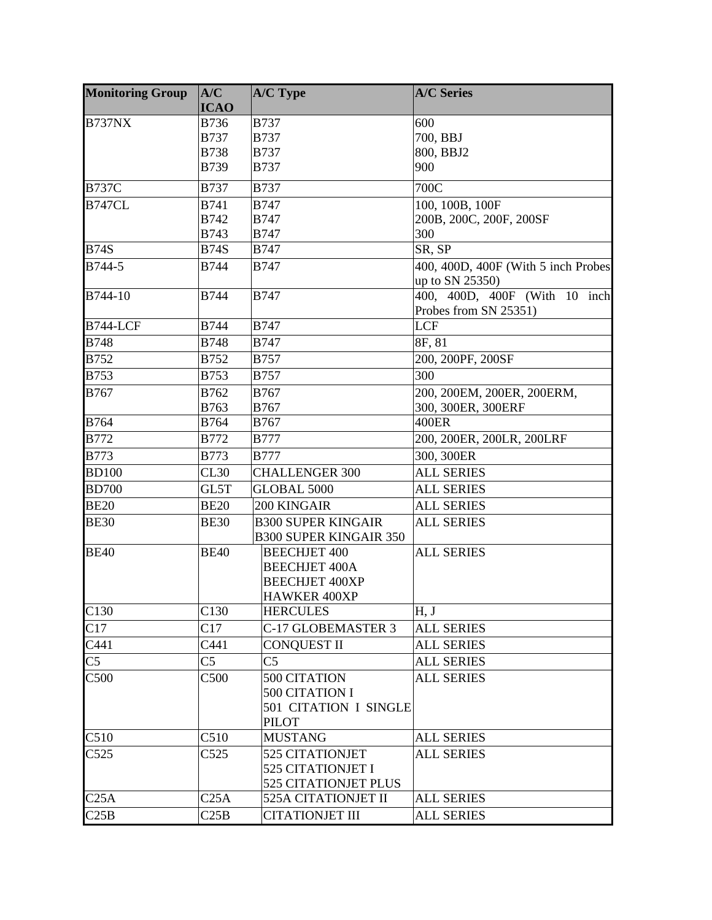| <b>Monitoring Group</b> | A/C<br><b>ICAO</b> | <b>A/C Type</b>                                                                             | <b>A/C Series</b>                                      |
|-------------------------|--------------------|---------------------------------------------------------------------------------------------|--------------------------------------------------------|
| <b>B737NX</b>           | B736               | <b>B737</b>                                                                                 | 600                                                    |
|                         | <b>B737</b>        | <b>B737</b>                                                                                 | 700, BBJ                                               |
|                         | <b>B738</b>        | <b>B737</b>                                                                                 | 800, BBJ2                                              |
|                         | <b>B739</b>        | <b>B737</b>                                                                                 | 900                                                    |
| <b>B737C</b>            | <b>B737</b>        | <b>B737</b>                                                                                 | 700C                                                   |
| <b>B747CL</b>           | <b>B741</b>        | <b>B747</b>                                                                                 | 100, 100B, 100F                                        |
|                         | <b>B742</b>        | <b>B747</b>                                                                                 | 200B, 200C, 200F, 200SF                                |
|                         | <b>B743</b>        | <b>B747</b>                                                                                 | 300                                                    |
| <b>B74S</b>             | <b>B74S</b>        | <b>B747</b>                                                                                 | SR, SP                                                 |
| B744-5                  | <b>B744</b>        | <b>B747</b>                                                                                 | 400, 400D, 400F (With 5 inch Probes<br>up to SN 25350) |
| B744-10                 | <b>B744</b>        | <b>B747</b>                                                                                 | 400, 400D, 400F (With 10 inch<br>Probes from SN 25351) |
| <b>B744-LCF</b>         | <b>B744</b>        | <b>B747</b>                                                                                 | LCF                                                    |
| <b>B748</b>             | <b>B748</b>        | <b>B747</b>                                                                                 | 8F, 81                                                 |
| <b>B752</b>             | <b>B752</b>        | <b>B757</b>                                                                                 | 200, 200PF, 200SF                                      |
| <b>B753</b>             | <b>B753</b>        | <b>B757</b>                                                                                 | 300                                                    |
| <b>B767</b>             | B762               | <b>B767</b>                                                                                 | 200, 200EM, 200ER, 200ERM,                             |
|                         | B763               | <b>B767</b>                                                                                 | 300, 300ER, 300ERF                                     |
| <b>B764</b>             | B764               | B767                                                                                        | <b>400ER</b>                                           |
| <b>B772</b>             | <b>B772</b>        | <b>B777</b>                                                                                 | 200, 200ER, 200LR, 200LRF                              |
| <b>B773</b>             | <b>B773</b>        | <b>B777</b>                                                                                 | 300, 300ER                                             |
| <b>BD100</b>            | CL30               | <b>CHALLENGER 300</b>                                                                       | <b>ALL SERIES</b>                                      |
| <b>BD700</b>            | GL5T               | GLOBAL 5000                                                                                 | <b>ALL SERIES</b>                                      |
| <b>BE20</b>             | <b>BE20</b>        | 200 KINGAIR                                                                                 | <b>ALL SERIES</b>                                      |
| <b>BE30</b>             | <b>BE30</b>        | <b>B300 SUPER KINGAIR</b><br><b>B300 SUPER KINGAIR 350</b>                                  | <b>ALL SERIES</b>                                      |
| <b>BE40</b>             | <b>BE40</b>        | <b>BEECHJET 400</b><br><b>BEECHJET 400A</b><br><b>BEECHJET 400XP</b><br><b>HAWKER 400XP</b> | <b>ALL SERIES</b>                                      |
| C130                    | C130               | <b>HERCULES</b>                                                                             | H, J                                                   |
| C17                     | C17                | C-17 GLOBEMASTER 3                                                                          | <b>ALL SERIES</b>                                      |
| C441                    | C441               | <b>CONQUEST II</b>                                                                          | <b>ALL SERIES</b>                                      |
| C <sub>5</sub>          | C <sub>5</sub>     | C5                                                                                          | <b>ALL SERIES</b>                                      |
| C500                    | C500               | 500 CITATION<br>500 CITATION I<br>501 CITATION I SINGLE<br><b>PILOT</b>                     | <b>ALL SERIES</b>                                      |
| C510                    | C510               | <b>MUSTANG</b>                                                                              | <b>ALL SERIES</b>                                      |
| C525                    | C525               | <b>525 CITATIONJET</b><br><b>525 CITATIONJET I</b><br><b>525 CITATIONJET PLUS</b>           | <b>ALL SERIES</b>                                      |
| C25A                    | C25A               | 525A CITATIONJET II                                                                         | <b>ALL SERIES</b>                                      |
| C25B                    | C25B               | <b>CITATIONJET III</b>                                                                      | <b>ALL SERIES</b>                                      |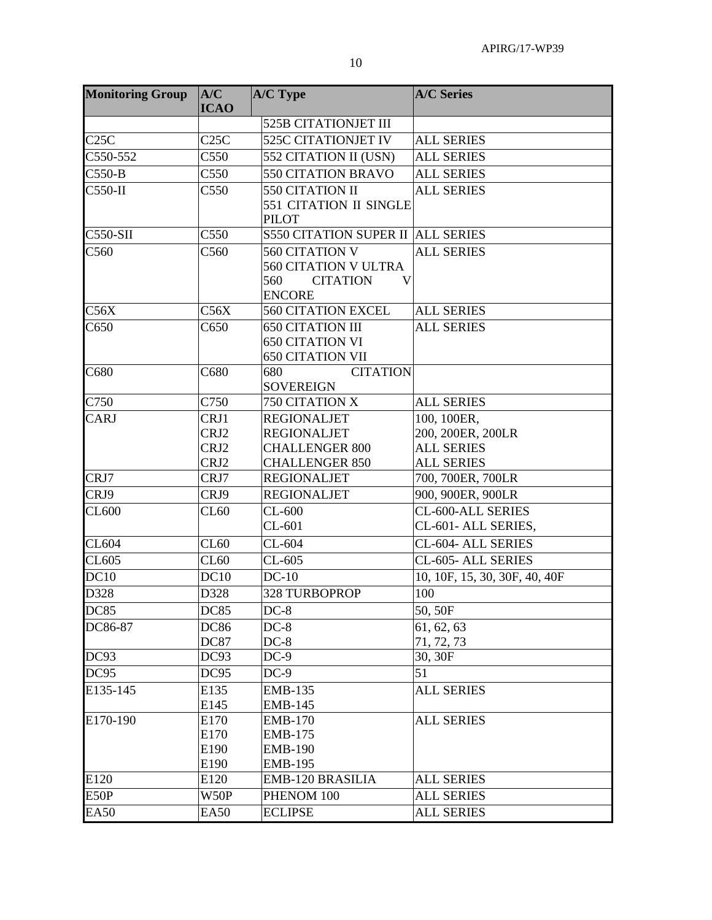| <b>Monitoring Group</b> | A/C<br><b>ICAO</b> | A/C Type                                   | <b>A/C Series</b>             |
|-------------------------|--------------------|--------------------------------------------|-------------------------------|
|                         |                    | <b>525B CITATIONJET III</b>                |                               |
| C25C                    | C25C               | <b>525C CITATIONJET IV</b>                 | <b>ALL SERIES</b>             |
| C550-552                | C550               | 552 CITATION II (USN)                      | <b>ALL SERIES</b>             |
| $C550-B$                | C550               | <b>550 CITATION BRAVO</b>                  | <b>ALL SERIES</b>             |
| $C550-H$                | C550               | 550 CITATION II                            | <b>ALL SERIES</b>             |
|                         |                    | <b>551 CITATION II SINGLE</b>              |                               |
|                         |                    | <b>PILOT</b>                               |                               |
| <b>C550-SII</b>         | C <sub>550</sub>   | <b>S550 CITATION SUPER II ALL SERIES</b>   |                               |
| C <sub>560</sub>        | C <sub>560</sub>   | <b>560 CITATION V</b>                      | <b>ALL SERIES</b>             |
|                         |                    | <b>560 CITATION V ULTRA</b>                |                               |
|                         |                    | 560<br><b>CITATION</b><br>V                |                               |
|                         |                    | <b>ENCORE</b>                              |                               |
| C56X                    | C56X               | <b>560 CITATION EXCEL</b>                  | <b>ALL SERIES</b>             |
| C650                    | C650               | <b>650 CITATION III</b>                    | <b>ALL SERIES</b>             |
|                         |                    | <b>650 CITATION VI</b>                     |                               |
|                         |                    | <b>650 CITATION VII</b>                    |                               |
| C680                    | C680               | <b>CITATION</b><br>680<br><b>SOVEREIGN</b> |                               |
| C750                    | C750               | 750 CITATION X                             | <b>ALL SERIES</b>             |
| <b>CARJ</b>             | CRJ1               | <b>REGIONALJET</b>                         | 100, 100ER,                   |
|                         | CRJ2               | <b>REGIONALJET</b>                         | 200, 200ER, 200LR             |
|                         | CRJ2               | <b>CHALLENGER 800</b>                      | <b>ALL SERIES</b>             |
|                         | CRJ2               | <b>CHALLENGER 850</b>                      | <b>ALL SERIES</b>             |
| CRJ7                    | CRJ7               | <b>REGIONALJET</b>                         | 700, 700ER, 700LR             |
| CRJ9                    | CRJ9               | <b>REGIONALJET</b>                         | 900, 900ER, 900LR             |
| <b>CL600</b>            | CL60               | $CL-600$                                   | CL-600-ALL SERIES             |
|                         |                    | $CL-601$                                   | CL-601- ALL SERIES,           |
| CL604                   | CL60               | $CL-604$                                   | CL-604- ALL SERIES            |
| CL605                   | CL60               | $CL-605$                                   | CL-605- ALL SERIES            |
| DC10                    | DC10               | $DC-10$                                    | 10, 10F, 15, 30, 30F, 40, 40F |
| D328                    | D328               | 328 TURBOPROP                              | 100                           |
| <b>DC85</b>             | <b>DC85</b>        | $DC-8$                                     | 50,50F                        |
| DC86-87                 | <b>DC86</b>        | $DC-8$                                     | 61, 62, 63                    |
|                         | <b>DC87</b>        | $DC-8$                                     | 71, 72, 73                    |
| DC93                    | DC93               | $DC-9$                                     | 30, 30F                       |
| DC95                    | DC95               | $DC-9$                                     | 51                            |
| E135-145                | E135               | EMB-135                                    | <b>ALL SERIES</b>             |
|                         | E145               | <b>EMB-145</b>                             |                               |
| E170-190                | E170               | <b>EMB-170</b>                             | <b>ALL SERIES</b>             |
|                         | E170               | <b>EMB-175</b>                             |                               |
|                         | E190               | <b>EMB-190</b>                             |                               |
|                         | E190               | <b>EMB-195</b>                             |                               |
| E120                    | E120               | EMB-120 BRASILIA                           | <b>ALL SERIES</b>             |
| E50P                    | W50P               | PHENOM 100                                 | <b>ALL SERIES</b>             |
| <b>EA50</b>             | <b>EA50</b>        | <b>ECLIPSE</b>                             | <b>ALL SERIES</b>             |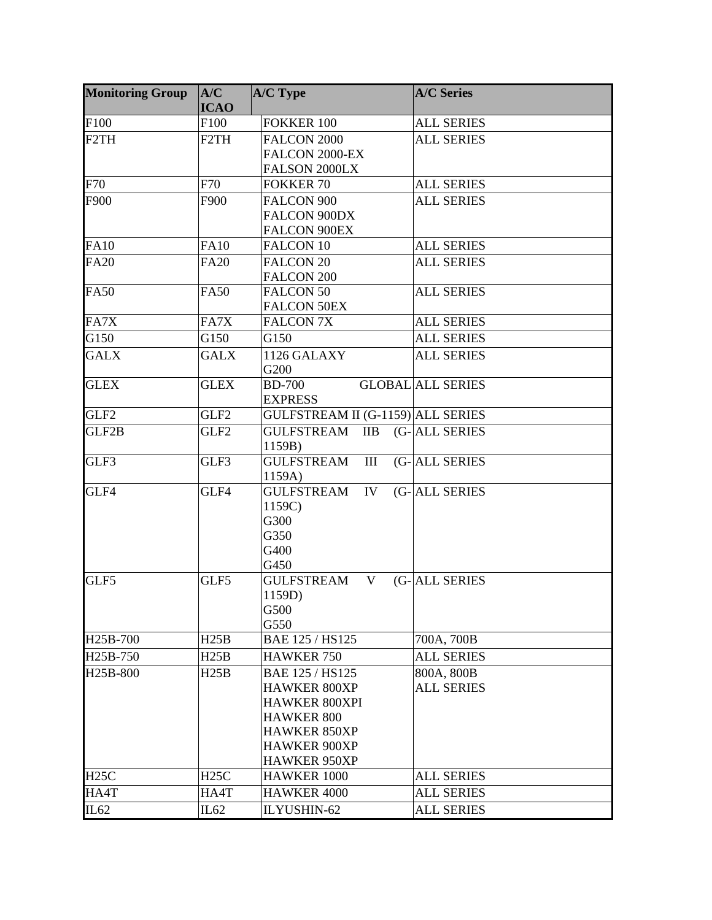| <b>Monitoring Group</b> | A/C<br><b>ICAO</b> | A/C Type                                    | <b>A/C Series</b>        |
|-------------------------|--------------------|---------------------------------------------|--------------------------|
| F100                    | F100               | <b>FOKKER 100</b>                           | <b>ALL SERIES</b>        |
| F <sub>2</sub> TH       | F <sub>2</sub> TH  | FALCON 2000                                 | <b>ALL SERIES</b>        |
|                         |                    | FALCON 2000-EX                              |                          |
|                         |                    | FALSON 2000LX                               |                          |
| F70                     | F70                | <b>FOKKER 70</b>                            | <b>ALL SERIES</b>        |
| F900                    | F900               | FALCON 900                                  | <b>ALL SERIES</b>        |
|                         |                    | <b>FALCON 900DX</b>                         |                          |
|                         |                    | <b>FALCON 900EX</b>                         |                          |
| <b>FA10</b>             | <b>FA10</b>        | <b>FALCON 10</b>                            | <b>ALL SERIES</b>        |
| <b>FA20</b>             | <b>FA20</b>        | <b>FALCON 20</b>                            | <b>ALL SERIES</b>        |
|                         |                    | <b>FALCON 200</b>                           |                          |
| <b>FA50</b>             | <b>FA50</b>        | <b>FALCON 50</b>                            | <b>ALL SERIES</b>        |
|                         |                    | <b>FALCON 50EX</b>                          |                          |
| FA7X                    | FA7X               | <b>FALCON 7X</b>                            | <b>ALL SERIES</b>        |
| G150                    | G150               | G150                                        | <b>ALL SERIES</b>        |
| <b>GALX</b>             | <b>GALX</b>        | 1126 GALAXY<br>G200                         | <b>ALL SERIES</b>        |
| <b>GLEX</b>             | <b>GLEX</b>        | <b>BD-700</b>                               | <b>GLOBAL ALL SERIES</b> |
|                         |                    | <b>EXPRESS</b>                              |                          |
| GLF <sub>2</sub>        | GLF <sub>2</sub>   | GULFSTREAM II (G-1159) ALL SERIES           |                          |
| GLF2B                   | GLF <sub>2</sub>   | GULFSTREAM<br>$\overline{I}$                | (G-ALL SERIES            |
|                         |                    | 1159B)                                      |                          |
| GLF3                    | GLF3               | <b>GULFSTREAM</b><br>III<br>1159A)          | (G-ALL SERIES            |
| GLF4                    | GLF4               | <b>GULFSTREAM</b><br>IV                     | (G-ALL SERIES            |
|                         |                    | 1159C)                                      |                          |
|                         |                    | G300                                        |                          |
|                         |                    | G350                                        |                          |
|                         |                    | G400                                        |                          |
|                         |                    | G450                                        |                          |
| GLF5                    | GLF5               | <b>GULFSTREAM</b><br>V                      | (G-ALL SERIES            |
|                         |                    | 1159D)                                      |                          |
|                         |                    | G500                                        |                          |
| H25B-700                | H25B               | G550<br>BAE 125 / HS125                     | 700A, 700B               |
|                         |                    |                                             |                          |
| H25B-750                | H25B               | <b>HAWKER 750</b>                           | <b>ALL SERIES</b>        |
| H25B-800                | H25B               | BAE 125 / HS125                             | 800A, 800B               |
|                         |                    | <b>HAWKER 800XP</b><br><b>HAWKER 800XPI</b> | <b>ALL SERIES</b>        |
|                         |                    | <b>HAWKER 800</b>                           |                          |
|                         |                    | <b>HAWKER 850XP</b>                         |                          |
|                         |                    | <b>HAWKER 900XP</b>                         |                          |
|                         |                    | <b>HAWKER 950XP</b>                         |                          |
| H25C                    | H25C               | HAWKER 1000                                 | <b>ALL SERIES</b>        |
| HA4T                    | HA4T               | HAWKER 4000                                 | <b>ALL SERIES</b>        |
| IL <sub>62</sub>        | IL62               | ILYUSHIN-62                                 | <b>ALL SERIES</b>        |
|                         |                    |                                             |                          |